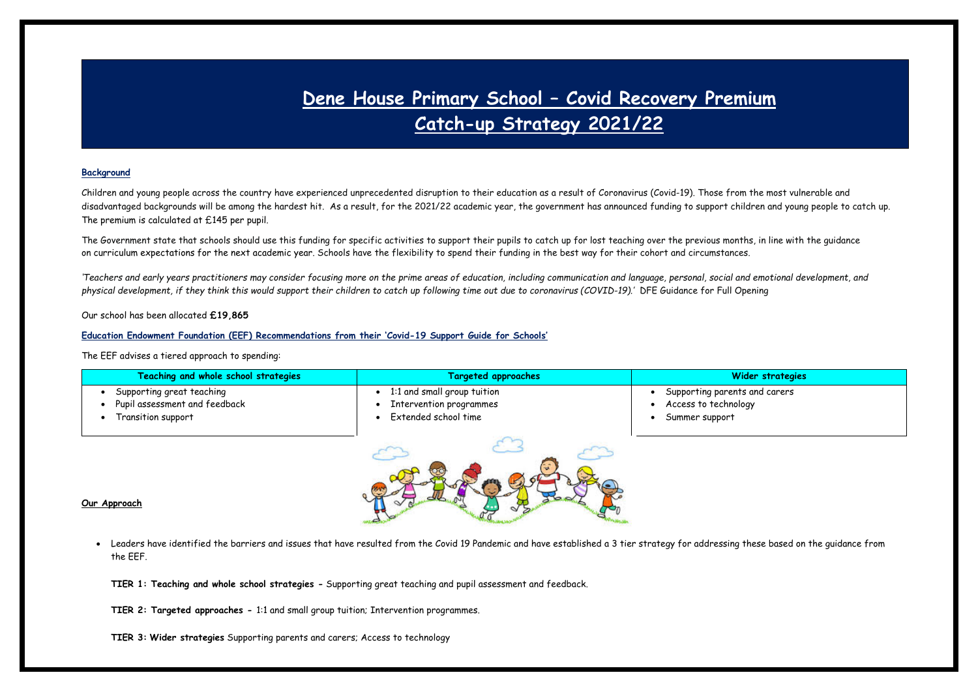# **Dene House Primary School – Covid Recovery Premium Catch-up Strategy 2021/22**

### **Background**

Children and young people across the country have experienced unprecedented disruption to their education as a result of Coronavirus (Covid-19). Those from the most vulnerable and disadvantaged backgrounds will be among the hardest hit. As a result, for the 2021/22 academic year, the government has announced funding to support children and young people to catch up. The premium is calculated at £145 per pupil.

The Government state that schools should use this funding for specific activities to support their pupils to catch up for lost teaching over the previous months, in line with the quidance on curriculum [expectations](https://www.gov.uk/government/publications/actions-for-schools-during-the-coronavirus-outbreak/guidance-for-full-opening-schools#section-3-curriculum-behaviour-and-pastoral-support) for the next academic [year.](https://www.gov.uk/government/publications/actions-for-schools-during-the-coronavirus-outbreak/guidance-for-full-opening-schools#section-3-curriculum-behaviour-and-pastoral-support) Schools have the flexibility to spend their funding in the best way for their cohort and circumstances.

*'Teachers and early years practitioners may consider focusing more on the prime areas of education, including communication and language, personal, social and emotional development, and physical development, if they think this would support their children to catch up following time out due to coronavirus (COVID-19).'* DFE Guidance for Full Opening

Our school has been allocated **£19,865**

#### **Education Endowment Foundation (EEF) Recommendations from their 'Covid-19 Support Guide for Schools'**

The EEF advises a tiered approach to spending:

| Teaching and whole school strategies | <b>Targeted approaches</b>  | Wider strategies              |
|--------------------------------------|-----------------------------|-------------------------------|
| Supporting great teaching            | 1:1 and small group tuition | Supporting parents and carers |
| Pupil assessment and feedback        | Intervention programmes     | Access to technology          |
| Transition support                   | Extended school time        | Summer support                |
|                                      |                             |                               |



#### **Our Approach**

- Leaders have identified the barriers and issues that have resulted from the Covid 19 Pandemic and have established a 3 tier strategy for addressing these based on the guidance from the EEF.
	- **TIER 1: Teaching and whole school strategies -** Supporting great teaching and pupil assessment and feedback.

**TIER 2: Targeted approaches -** 1:1 and small group tuition; Intervention programmes.

**TIER 3: Wider strategies** Supporting parents and carers; Access to technology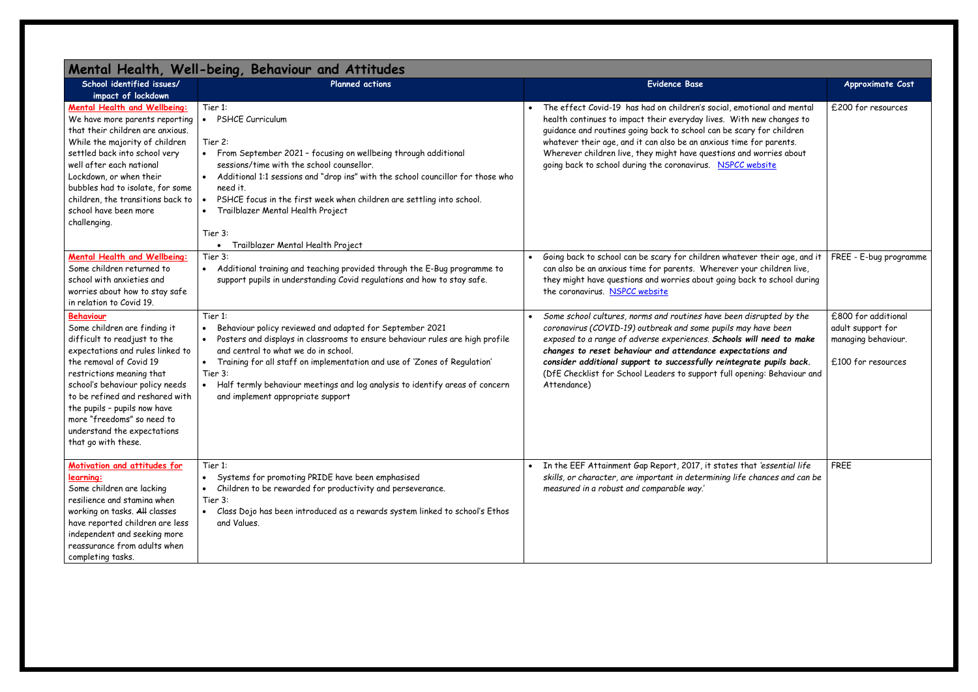| Mental Health, Well-being, Behaviour and Attitudes |                                                                                              |                                                                            |                        |
|----------------------------------------------------|----------------------------------------------------------------------------------------------|----------------------------------------------------------------------------|------------------------|
| School identified issues/                          | <b>Planned actions</b>                                                                       | Evidence Base                                                              | Approximate Cost       |
| impact of lockdown                                 |                                                                                              |                                                                            |                        |
| Mental Health and Wellbeing:                       | Tier 1:                                                                                      | The effect Covid-19 has had on children's social, emotional and mental     | £200 for resources     |
| We have more parents reporting                     | <b>PSHCE Curriculum</b><br>$\bullet$                                                         | health continues to impact their everyday lives. With new changes to       |                        |
| that their children are anxious.                   |                                                                                              | guidance and routines going back to school can be scary for children       |                        |
| While the majority of children                     | Tier 2:                                                                                      | whatever their age, and it can also be an anxious time for parents.        |                        |
| settled back into school very                      | From September 2021 - focusing on wellbeing through additional<br>$\bullet$                  | Wherever children live, they might have questions and worries about        |                        |
| well after each national                           | sessions/time with the school counsellor.                                                    | going back to school during the coronavirus. NSPCC website                 |                        |
| Lockdown, or when their                            | Additional 1:1 sessions and "drop ins" with the school councillor for those who<br>$\bullet$ |                                                                            |                        |
| bubbles had to isolate, for some                   | need it.                                                                                     |                                                                            |                        |
| children, the transitions back to                  | PSHCE focus in the first week when children are settling into school.                        |                                                                            |                        |
| school have been more                              | Trailblazer Mental Health Project<br>$\bullet$                                               |                                                                            |                        |
| challenging.                                       |                                                                                              |                                                                            |                        |
|                                                    | Tier 3:                                                                                      |                                                                            |                        |
|                                                    | Trailblazer Mental Health Project                                                            |                                                                            |                        |
| Mental Health and Wellbeing:                       | Tier 3:                                                                                      | Going back to school can be scary for children whatever their age, and it  | FREE - E-bug programme |
| Some children returned to                          | Additional training and teaching provided through the E-Bug programme to<br>$\bullet$        | can also be an anxious time for parents. Wherever your children live,      |                        |
| school with anxieties and                          | support pupils in understanding Covid regulations and how to stay safe.                      | they might have questions and worries about going back to school during    |                        |
| worries about how to stay safe                     |                                                                                              | the coronavirus. NSPCC website                                             |                        |
| in relation to Covid 19.                           |                                                                                              |                                                                            |                        |
| <b>Behaviour</b>                                   | Tier 1:                                                                                      | Some school cultures, norms and routines have been disrupted by the        | £800 for additional    |
| Some children are finding it                       | Behaviour policy reviewed and adapted for September 2021<br>$\bullet$                        | coronavirus (COVID-19) outbreak and some pupils may have been              | adult support for      |
| difficult to readjust to the                       | Posters and displays in classrooms to ensure behaviour rules are high profile<br>$\bullet$   | exposed to a range of adverse experiences. Schools will need to make       | managing behaviour.    |
| expectations and rules linked to                   | and central to what we do in school.                                                         | changes to reset behaviour and attendance expectations and                 |                        |
| the removal of Covid 19                            | Training for all staff on implementation and use of 'Zones of Regulation'<br>$\bullet$       | consider additional support to successfully reintegrate pupils back.       | £100 for resources     |
| restrictions meaning that                          | Tier 3:                                                                                      | (DfE Checklist for School Leaders to support full opening: Behaviour and   |                        |
| school's behaviour policy needs                    | Half termly behaviour meetings and log analysis to identify areas of concern<br>$\bullet$    | Attendance)                                                                |                        |
| to be refined and reshared with                    | and implement appropriate support                                                            |                                                                            |                        |
| the pupils - pupils now have                       |                                                                                              |                                                                            |                        |
| more "freedoms" so need to                         |                                                                                              |                                                                            |                        |
| understand the expectations                        |                                                                                              |                                                                            |                        |
| that go with these.                                |                                                                                              |                                                                            |                        |
|                                                    |                                                                                              |                                                                            |                        |
| Motivation and attitudes for                       | Tier 1:                                                                                      | In the EEF Attainment Gap Report, 2017, it states that 'essential life     | <b>FREE</b>            |
| learning:                                          | Systems for promoting PRIDE have been emphasised<br>$\bullet$                                | skills, or character, are important in determining life chances and can be |                        |
| Some children are lacking                          | Children to be rewarded for productivity and perseverance.                                   | measured in a robust and comparable way.'                                  |                        |
| resilience and stamina when                        | Tier 3:                                                                                      |                                                                            |                        |
| working on tasks. All classes                      | Class Dojo has been introduced as a rewards system linked to school's Ethos<br>$\bullet$     |                                                                            |                        |
| have reported children are less                    | and Values.                                                                                  |                                                                            |                        |
| independent and seeking more                       |                                                                                              |                                                                            |                        |
| reassurance from adults when                       |                                                                                              |                                                                            |                        |
| completing tasks.                                  |                                                                                              |                                                                            |                        |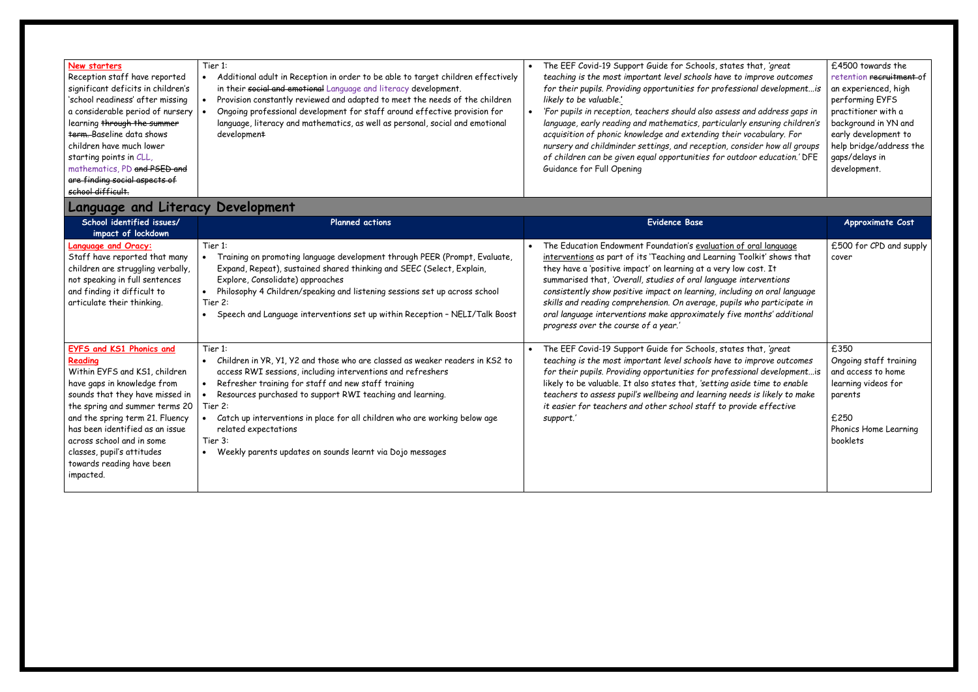| New starters<br>Reception staff have reported<br>significant deficits in children's<br>'school readiness' after missing<br>a considerable period of nursery<br>learning through the summer<br><b>term.</b> Baseline data shows<br>children have much lower<br>starting points in CLL,<br>mathematics, PD and PSED and<br>are finding social aspects of<br>school difficult. | Tier 1:<br>Additional adult in Reception in order to be able to target children effectively<br>$\bullet$<br>in their social and emotional Language and literacy development.<br>Provision constantly reviewed and adapted to meet the needs of the children<br>$\bullet$<br>Ongoing professional development for staff around effective provision for<br>language, literacy and mathematics, as well as personal, social and emotional<br>development                                         | The EEF Covid-19 Support Guide for Schools, states that, 'great<br>teaching is the most important level schools have to improve outcomes<br>for their pupils. Providing opportunities for professional developmentis<br>likely to be valuable.'<br>'For pupils in reception, teachers should also assess and address gaps in<br>language, early reading and mathematics, particularly ensuring children's<br>acquisition of phonic knowledge and extending their vocabulary. For<br>nursery and childminder settings, and reception, consider how all groups<br>of children can be given equal opportunities for outdoor education.' DFE<br>Guidance for Full Opening | £4500 towards the<br>retention recruitment<br>an experienced, high<br>performing EYFS<br>practitioner with a<br>background in YN and<br>early development to<br>help bridge/address 1<br>gaps/delays in<br>development. |
|-----------------------------------------------------------------------------------------------------------------------------------------------------------------------------------------------------------------------------------------------------------------------------------------------------------------------------------------------------------------------------|-----------------------------------------------------------------------------------------------------------------------------------------------------------------------------------------------------------------------------------------------------------------------------------------------------------------------------------------------------------------------------------------------------------------------------------------------------------------------------------------------|-----------------------------------------------------------------------------------------------------------------------------------------------------------------------------------------------------------------------------------------------------------------------------------------------------------------------------------------------------------------------------------------------------------------------------------------------------------------------------------------------------------------------------------------------------------------------------------------------------------------------------------------------------------------------|-------------------------------------------------------------------------------------------------------------------------------------------------------------------------------------------------------------------------|
| <b>Language and Literacy Development</b>                                                                                                                                                                                                                                                                                                                                    |                                                                                                                                                                                                                                                                                                                                                                                                                                                                                               |                                                                                                                                                                                                                                                                                                                                                                                                                                                                                                                                                                                                                                                                       |                                                                                                                                                                                                                         |
| School identified issues/<br>impact of lockdown                                                                                                                                                                                                                                                                                                                             | Planned actions                                                                                                                                                                                                                                                                                                                                                                                                                                                                               | <b>Evidence Base</b>                                                                                                                                                                                                                                                                                                                                                                                                                                                                                                                                                                                                                                                  | <b>Approximate Cost</b>                                                                                                                                                                                                 |
| <b>Language and Oracy:</b><br>Staff have reported that many<br>children are struggling verbally,<br>not speaking in full sentences<br>and finding it difficult to<br>articulate their thinking.                                                                                                                                                                             | Tier 1:<br>Training on promoting language development through PEER (Prompt, Evaluate,<br>Expand, Repeat), sustained shared thinking and SEEC (Select, Explain,<br>Explore, Consolidate) approaches<br>Philosophy 4 Children/speaking and listening sessions set up across school<br>$\bullet$<br>Tier 2:<br>Speech and Language interventions set up within Reception - NELI/Talk Boost                                                                                                       | The Education Endowment Foundation's evaluation of oral language<br>interventions as part of its 'Teaching and Learning Toolkit' shows that<br>they have a 'positive impact' on learning at a very low cost. It<br>summarised that, 'Overall, studies of oral language interventions<br>consistently show positive impact on learning, including on oral language<br>skills and reading comprehension. On average, pupils who participate in<br>oral language interventions make approximately five months' additional<br>progress over the course of a year.'                                                                                                        | £500 for CPD and suj<br>cover                                                                                                                                                                                           |
| <b>EYFS and KS1 Phonics and</b><br>Reading<br>Within EYFS and KS1, children<br>have gaps in knowledge from<br>sounds that they have missed in<br>the spring and summer terms 20<br>and the spring term 21. Fluency<br>has been identified as an issue<br>across school and in some<br>classes, pupil's attitudes<br>towards reading have been<br>impacted.                  | Tier 1:<br>Children in YR, Y1, Y2 and those who are classed as weaker readers in KS2 to<br>access RWI sessions, including interventions and refreshers<br>Refresher training for staff and new staff training<br>$\bullet$<br>Resources purchased to support RWI teaching and learning.<br>Tier 2:<br>Catch up interventions in place for all children who are working below age<br>related expectations<br>Tier 3:<br>Weekly parents updates on sounds learnt via Dojo messages<br>$\bullet$ | The EEF Covid-19 Support Guide for Schools, states that, 'great<br>teaching is the most important level schools have to improve outcomes<br>for their pupils. Providing opportunities for professional developmentis<br>likely to be valuable. It also states that, 'setting aside time to enable<br>teachers to assess pupil's wellbeing and learning needs is likely to make<br>it easier for teachers and other school staff to provide effective<br>support.'                                                                                                                                                                                                     | £350<br>Ongoing staff trainin<br>and access to home<br>learning videos for<br>parents<br>£250<br>Phonics Home Learnin<br>booklets                                                                                       |

| s that, 'great:<br>o improve outcomes<br>sional developmentis<br>; and address gaps in<br>ly ensuring children's<br>vocabulary. For<br>nsider how all groups<br>door education.' DFE | £4500 towards the<br>retention recruitment of<br>an experienced, high<br>performing EYFS<br>practitioner with a<br>background in YN and<br>early development to<br>help bridge/address the<br>gaps/delays in<br>development. |
|--------------------------------------------------------------------------------------------------------------------------------------------------------------------------------------|------------------------------------------------------------------------------------------------------------------------------------------------------------------------------------------------------------------------------|
|                                                                                                                                                                                      |                                                                                                                                                                                                                              |
|                                                                                                                                                                                      | Approximate Cost                                                                                                                                                                                                             |
|                                                                                                                                                                                      |                                                                                                                                                                                                                              |
| <u>of oral language</u><br>Toolkit' shows that<br>w cost. It<br>interventions<br>ding on oral language<br>s who participate in<br>e months' additional                               | £500 for CPD and supply<br>cover                                                                                                                                                                                             |

Ongoing staff training and access to home learning videos for

£250  $\mid$  2000  $\mid$  Phonics Home Learning booklets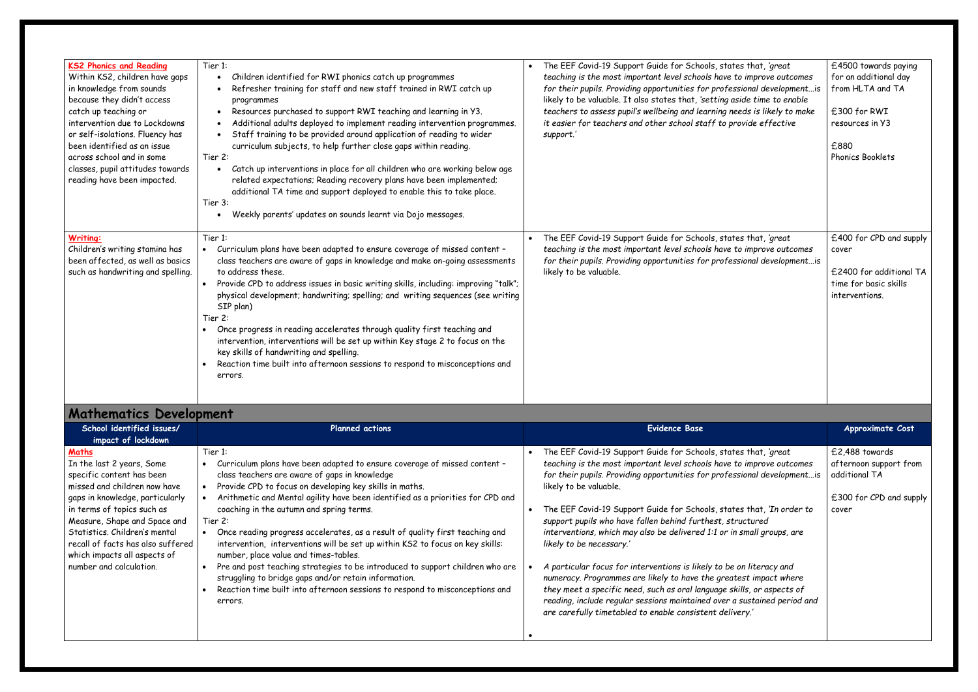| <b>KS2 Phonics and Reading</b><br>Within KS2, children have gaps<br>in knowledge from sounds<br>because they didn't access<br>catch up teaching or<br>intervention due to Lockdowns<br>or self-isolations. Fluency has<br>been identified as an issue<br>across school and in some<br>classes, pupil attitudes towards<br>reading have been impacted. | Tier 1:<br>Children identified for RWI phonics catch up programmes<br>Refresher training for staff and new staff trained in RWI catch up<br>programmes<br>Resources purchased to support RWI teaching and learning in Y3.<br>Additional adults deployed to implement reading intervention programmes.<br>Staff training to be provided around application of reading to wider<br>curriculum subjects, to help further close gaps within reading.<br>Tier 2:<br>Catch up interventions in place for all children who are working below age<br>$\bullet$<br>related expectations; Reading recovery plans have been implemented;<br>additional TA time and support deployed to enable this to take place.<br>Tier 3:<br>Weekly parents' updates on sounds learnt via Dojo messages.<br>$\bullet$ | The EEF Covid-19 Support Guide for Schools, states that, 'great<br>teaching is the most important level schools have to improve outcomes<br>for their pupils. Providing opportunities for professional development is<br>likely to be valuable. It also states that, 'setting aside time to enable<br>teachers to assess pupil's wellbeing and learning needs is likely to make<br>it easier for teachers and other school staff to provide effective<br>support.' |
|-------------------------------------------------------------------------------------------------------------------------------------------------------------------------------------------------------------------------------------------------------------------------------------------------------------------------------------------------------|-----------------------------------------------------------------------------------------------------------------------------------------------------------------------------------------------------------------------------------------------------------------------------------------------------------------------------------------------------------------------------------------------------------------------------------------------------------------------------------------------------------------------------------------------------------------------------------------------------------------------------------------------------------------------------------------------------------------------------------------------------------------------------------------------|--------------------------------------------------------------------------------------------------------------------------------------------------------------------------------------------------------------------------------------------------------------------------------------------------------------------------------------------------------------------------------------------------------------------------------------------------------------------|
| Writing:<br>Children's writing stamina has<br>been affected, as well as basics<br>such as handwriting and spelling.                                                                                                                                                                                                                                   | Tier 1:<br>Curriculum plans have been adapted to ensure coverage of missed content -<br>class teachers are aware of gaps in knowledge and make on-going assessments<br>to address these.<br>Provide CPD to address issues in basic writing skills, including: improving "talk";<br>physical development; handwriting; spelling; and writing sequences (see writing<br>SIP plan)<br>Tier 2:<br>Once progress in reading accelerates through quality first teaching and<br>intervention, interventions will be set up within Key stage 2 to focus on the<br>key skills of handwriting and spelling.<br>Reaction time built into afternoon sessions to respond to misconceptions and<br>errors.                                                                                                  | The EEF Covid-19 Support Guide for Schools, states that, 'great<br>teaching is the most important level schools have to improve outcomes<br>for their pupils. Providing opportunities for professional development is<br>likely to be valuable.                                                                                                                                                                                                                    |

## **Mathematics Development**

| s that, ' <i>great</i><br>improve outcomes<br>ional developmentis<br>ide time to enable<br>ds is likely to make<br>vide effective | £4500 towards paying<br>for an additional day<br>from HLTA and TA<br>£300 for RWI<br>resources in Y3<br>£880<br><b>Phonics Booklets</b> |
|-----------------------------------------------------------------------------------------------------------------------------------|-----------------------------------------------------------------------------------------------------------------------------------------|
| s that, ' <i>great</i><br>improve outcomes<br>ional developmentis                                                                 | £400 for CPD and supply<br>cover<br>£2400 for additional TA<br>time for basic skills<br>interventions.                                  |
|                                                                                                                                   |                                                                                                                                         |
|                                                                                                                                   |                                                                                                                                         |
|                                                                                                                                   | <b>Approximate Cost</b>                                                                                                                 |
|                                                                                                                                   | £2,488 towards<br>afternoon support from<br>additional TA                                                                               |
| s that, 'great<br>improve outcomes<br>ional developmentis<br>s that, 'In order to<br>ıctured<br>small groups, are                 | £300 for CPD and supply<br>cover                                                                                                        |
| n literacy and<br>st impact where<br>lls, or aspects of<br>sustained period and<br>ry.'                                           |                                                                                                                                         |

| School identified issues/<br>impact of lockdown                                                                                                                                                                                                                                                                                   | <b>Planned actions</b>                                                                                                                                                                                                                                                                                                                                                                                                                                                                                                                                                                                                                                                                                                                                                                  | <b>Evidence Base</b>                                                                                                                                                                                                                                                                                                                                                                                                                                                                                                                                                                                                                                                                                                                                                                                                                                       | Approximate Cost                                                                          |
|-----------------------------------------------------------------------------------------------------------------------------------------------------------------------------------------------------------------------------------------------------------------------------------------------------------------------------------|-----------------------------------------------------------------------------------------------------------------------------------------------------------------------------------------------------------------------------------------------------------------------------------------------------------------------------------------------------------------------------------------------------------------------------------------------------------------------------------------------------------------------------------------------------------------------------------------------------------------------------------------------------------------------------------------------------------------------------------------------------------------------------------------|------------------------------------------------------------------------------------------------------------------------------------------------------------------------------------------------------------------------------------------------------------------------------------------------------------------------------------------------------------------------------------------------------------------------------------------------------------------------------------------------------------------------------------------------------------------------------------------------------------------------------------------------------------------------------------------------------------------------------------------------------------------------------------------------------------------------------------------------------------|-------------------------------------------------------------------------------------------|
| Maths<br>In the last 2 years, Some<br>specific content has been<br>missed and children now have<br>gaps in knowledge, particularly<br>in terms of topics such as<br>Measure, Shape and Space and<br>Statistics. Children's mental<br>recall of facts has also suffered<br>which impacts all aspects of<br>number and calculation. | Tier 1:<br>Curriculum plans have been adapted to ensure coverage of missed content -<br>class teachers are aware of gaps in knowledge<br>Provide CPD to focus on developing key skills in maths.<br>Arithmetic and Mental agility have been identified as a priorities for CPD and<br>coaching in the autumn and spring terms.<br>Tier 2:<br>Once reading progress accelerates, as a result of quality first teaching and<br>intervention, interventions will be set up within KS2 to focus on key skills:<br>number, place value and times-tables.<br>Pre and post teaching strategies to be introduced to support children who are<br>struggling to bridge gaps and/or retain information.<br>Reaction time built into afternoon sessions to respond to misconceptions and<br>errors. | The EEF Covid-19 Support Guide for Schools, states that, 'great<br>teaching is the most important level schools have to improve outcomes<br>for their pupils. Providing opportunities for professional developmentis<br>likely to be valuable.<br>The EEF Covid-19 Support Guide for Schools, states that, 'In order to<br>support pupils who have fallen behind furthest, structured<br>interventions, which may also be delivered 1:1 or in small groups, are<br>likely to be necessary.'<br>A particular focus for interventions is likely to be on literacy and<br>numeracy. Programmes are likely to have the greatest impact where<br>they meet a specific need, such as oral language skills, or aspects of<br>reading, include regular sessions maintained over a sustained period and<br>are carefully timetabled to enable consistent delivery.' | £2,488 towards<br>afternoon support fro<br>additional TA<br>£300 for CPD and suj<br>cover |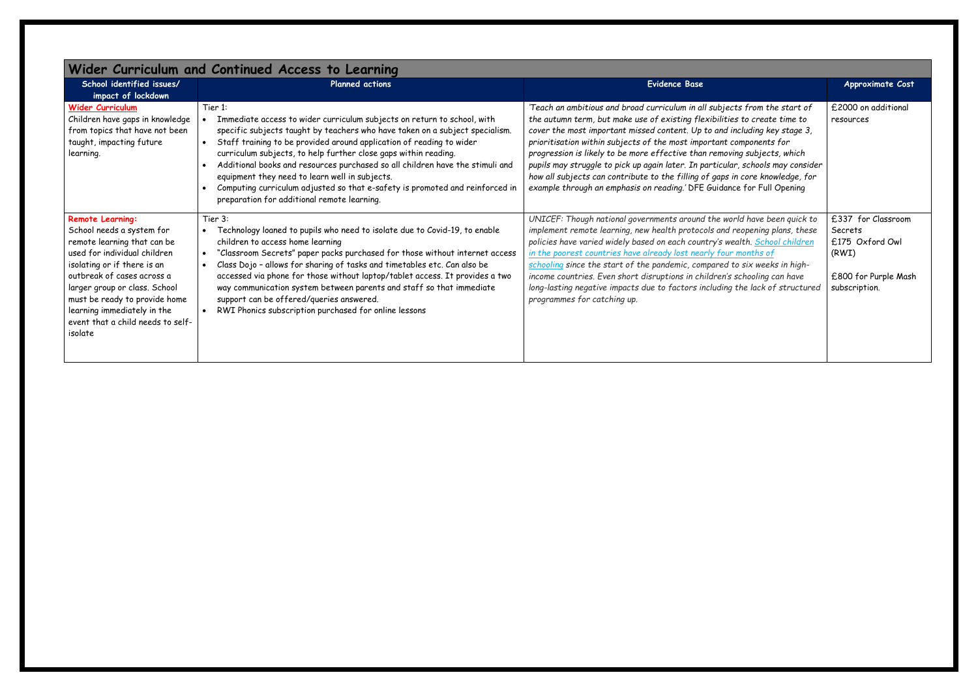| Wider Curriculum and Continued Access to Learning                                                                                                                                                                                                                                                                                 |                                                                                                                                                                                                                                                                                                                                                                                                                                                                                                                                                                                              |                                                                                                                                                                                                                                                                                                                                                                                                                                                                                                                                                                                                                                       |                                                                                                    |
|-----------------------------------------------------------------------------------------------------------------------------------------------------------------------------------------------------------------------------------------------------------------------------------------------------------------------------------|----------------------------------------------------------------------------------------------------------------------------------------------------------------------------------------------------------------------------------------------------------------------------------------------------------------------------------------------------------------------------------------------------------------------------------------------------------------------------------------------------------------------------------------------------------------------------------------------|---------------------------------------------------------------------------------------------------------------------------------------------------------------------------------------------------------------------------------------------------------------------------------------------------------------------------------------------------------------------------------------------------------------------------------------------------------------------------------------------------------------------------------------------------------------------------------------------------------------------------------------|----------------------------------------------------------------------------------------------------|
| School identified issues/<br>impact of lockdown                                                                                                                                                                                                                                                                                   | <b>Planned actions</b>                                                                                                                                                                                                                                                                                                                                                                                                                                                                                                                                                                       | <b>Evidence Base</b>                                                                                                                                                                                                                                                                                                                                                                                                                                                                                                                                                                                                                  | Approximate Cost                                                                                   |
| <b>Wider Curriculum</b><br>Children have gaps in knowledge<br>from topics that have not been<br>taught, impacting future<br>learning.                                                                                                                                                                                             | Tier 1:<br>Immediate access to wider curriculum subjects on return to school, with<br>specific subjects taught by teachers who have taken on a subject specialism.<br>Staff training to be provided around application of reading to wider<br>$\bullet$<br>curriculum subjects, to help further close gaps within reading.<br>Additional books and resources purchased so all children have the stimuli and<br>equipment they need to learn well in subjects.<br>Computing curriculum adjusted so that e-safety is promoted and reinforced in<br>preparation for additional remote learning. | 'Teach an ambitious and broad curriculum in all subjects from the start of<br>the autumn term, but make use of existing flexibilities to create time to<br>cover the most important missed content. Up to and including key stage 3,<br>prioritisation within subjects of the most important components for<br>progression is likely to be more effective than removing subjects, which<br>pupils may struggle to pick up again later. In particular, schools may consider<br>how all subjects can contribute to the filling of gaps in core knowledge, for<br>example through an emphasis on reading.' DFE Guidance for Full Opening | £2000 on additional<br>resources                                                                   |
| <b>Remote Learning:</b><br>School needs a system for<br>remote learning that can be<br>used for individual children<br>isolating or if there is an<br>outbreak of cases across a<br>larger group or class. School<br>must be ready to provide home<br>learning immediately in the<br>event that a child needs to self-<br>isolate | Tier 3:<br>Technology loaned to pupils who need to isolate due to Covid-19, to enable<br>children to access home learning<br>"Classroom Secrets" paper packs purchased for those without internet access<br>$\bullet$<br>Class Dojo - allows for sharing of tasks and timetables etc. Can also be<br>accessed via phone for those without laptop/tablet access. It provides a two<br>way communication system between parents and staff so that immediate<br>support can be offered/queries answered.<br>RWI Phonics subscription purchased for online lessons                               | UNICEF: Though national governments around the world have been quick to<br>implement remote learning, new health protocols and reopening plans, these<br>policies have varied widely based on each country's wealth. School children<br>in the poorest countries have already lost nearly four months of<br>schooling since the start of the pandemic, compared to six weeks in high-<br>income countries. Even short disruptions in children's schooling can have<br>long-lasting negative impacts due to factors including the lack of structured<br>programmes for catching up.                                                    | £337 for Classroom<br>Secrets<br>£175 Oxford Owl<br>(RWI)<br>£800 for Purple Mash<br>subscription. |